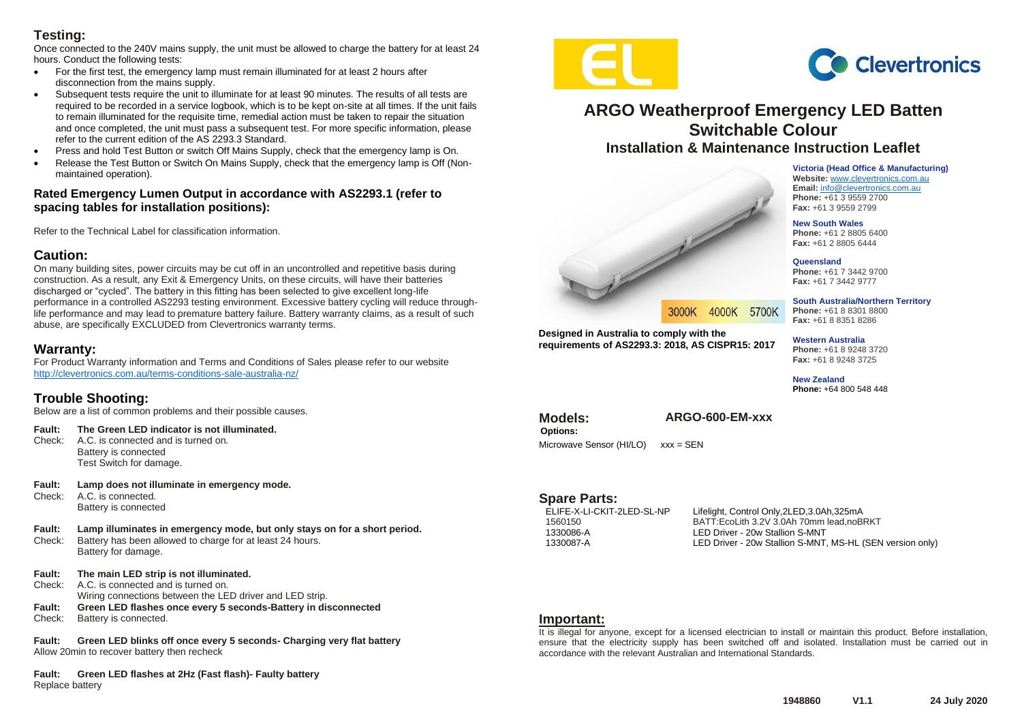## **Testing:**

Once connected to the 240V mains supply, the unit must be allowed to charge the battery for at least 24 hours. Conduct the following tests:

- For the first test, the emergency lamp must remain illuminated for at least 2 hours after disconnection from the mains supply.
- Subsequent tests require the unit to illuminate for at least 90 minutes. The results of all tests are required to be recorded in a service logbook, which is to be kept on-site at all times. If the unit fails to remain illuminated for the requisite time, remedial action must be taken to repair the situation and once completed, the unit must pass a subsequent test. For more specific information, please refer to the current edition of the AS 2293.3 Standard.
- Press and hold Test Button or switch Off Mains Supply, check that the emergency lamp is On.
- Release the Test Button or Switch On Mains Supply, check that the emergency lamp is Off (Nonmaintained operation).

#### **Rated Emergency Lumen Output in accordance with AS2293.1 (refer to spacing tables for installation positions):**

Refer to the Technical Label for classification information.

### **Caution:**

On many building sites, power circuits may be cut off in an uncontrolled and repetitive basis during construction. As a result, any Exit & Emergency Units, on these circuits, will have their batteries discharged or "cycled". The battery in this fitting has been selected to give excellent long-life performance in a controlled AS2293 testing environment. Excessive battery cycling will reduce throughlife performance and may lead to premature battery failure. Battery warranty claims, as a result of such abuse, are specifically EXCLUDED from Clevertronics warranty terms.

## **Warranty:**

For Product Warranty information and Terms and Conditions of Sales please refer to our website <http://clevertronics.com.au/terms-conditions-sale-australia-nz/>

## **Trouble Shooting:**

Below are a list of common problems and their possible causes.

- **Fault: The Green LED indicator is not illuminated.**
- Check: A.C. is connected and is turned on. Battery is connected Test Switch for damage.
- **Fault: Lamp does not illuminate in emergency mode.**  Check: A.C. is connected. Battery is connected
- **Fault: Lamp illuminates in emergency mode, but only stays on for a short period.** Check: Battery has been allowed to charge for at least 24 hours. Battery for damage.
- **Fault: The main LED strip is not illuminated.**
- Check: A.C. is connected and is turned on.
	- Wiring connections between the LED driver and LED strip.
- **Fault: Green LED flashes once every 5 seconds-Battery in disconnected**
- Check: Battery is connected.

**Fault: Green LED blinks off once every 5 seconds- Charging very flat battery** Allow 20min to recover battery then recheck

**Fault: Green LED flashes at 2Hz (Fast flash)- Faulty battery** Replace battery





## **ARGO Weatherproof Emergency LED Batten Switchable Colour Installation & Maintenance Instruction Leaflet**

5700K

**Victoria (Head Office & Manufacturing)** Website: [www.clevertronics.com.au](http://www.clevertronics.com.au/) **Email:** info@clevertronics.com.au **Phone:** +61 3 9559 2700 **Fax:** +61 3 9559 2799

**New South Wales Phone:** +61 2 8805 6400 **Fax:** +61 2 8805 6444

**Queensland Phone:** +61 7 3442 9700 **Fax:** +61 7 3442 9777

**South Australia/Northern Territory Phone:** +61 8 8301 8800 **Fax:** +61 8 8351 8286

**Western Australia requirements of AS2293.3: 2018, AS CISPR15: 2017**

**Phone:** +61 8 9248 3720 **Fax:** +61 8 9248 3725

**New Zealand Phone:** +64 800 548 448

**Models: ARGO-600-EM-xxx Options:** Microwave Sensor (HI/LO) xxx = SEN

**Designed in Australia to comply with the** 

**Contract Contract Contract Contract Contract Contract Contract Contract Contract Contract Contract Contract C** 

3000K

4000K

# **Spare Parts:**<br>ELIFE-X-LI-CKIT-2LED-SL-NP

Lifelight, Control Only, 2LED, 3.0Ah, 325mA 1560150 BATT:EcoLith 3.2V 3.0Ah 70mm lead,noBRKT 1330086-A LED Driver - 20w Stallion S-MNT 1330087-A LED Driver - 20w Stallion S-MNT, MS-HL (SEN version only)

### **Important:**

It is illegal for anyone, except for a licensed electrician to install or maintain this product. Before installation, ensure that the electricity supply has been switched off and isolated. Installation must be carried out in accordance with the relevant Australian and International Standards.